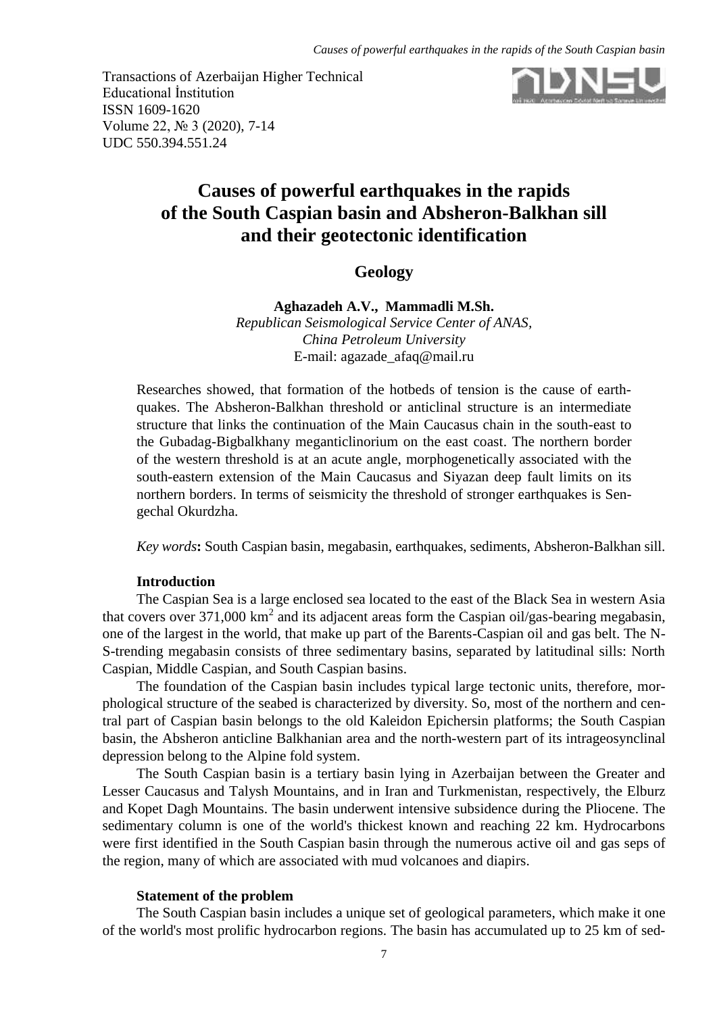Transactions of Azerbaijan Higher Technical Educational İnstitution ISSN 1609-1620 Volume 22, № 3 (2020), 7-14 UDC 550.394.551.24



# **Causes of powerful earthquakes in the rapids of the South Caspian basin and Absheron-Balkhan sill and their geotectonic identification**

## **Geology**

**Aghazadeh A.V., Mammadli M.Sh.**

*Republican Seismological Service Center of ANAS, China Petroleum University* E-mail: [agazade\\_afaq@mail.ru](mailto:agazade_afaq@mail.ru)

Researches showed, that formation of the hotbeds of tension is the cause of earthquakes. The Absheron-Balkhan threshold or anticlinal structure is an intermediate structure that links the continuation of the Main Caucasus chain in the south-east to the Gubadag-Bigbalkhany meganticlinorium on the east coast. The northern border of the western threshold is at an acute angle, morphogenetically associated with the south-eastern extension of the Main Caucasus and Siyazan deep fault limits on its northern borders. In terms of seismicity the threshold of stronger earthquakes is Sengechal Okurdzha.

*Key words***:** South Caspian basin, megabasin, earthquakes, sediments, Absheron-Balkhan sill.

## **Introduction**

The Caspian Sea is a large enclosed sea located to the east of the Black Sea in western Asia that covers over 371,000  $km^2$  and its adjacent areas form the Caspian oil/gas-bearing megabasin, one of the largest in the world, that make up part of the Barents-Caspian oil and gas belt. The N-S-trending megabasin consists of three sedimentary basins, separated by latitudinal sills: North Caspian, Middle Caspian, and South Caspian basins.

The foundation of the Caspian basin includes typical large tectonic units, therefore, morphological structure of the seabed is characterized by diversity. So, most of the northern and central part of Caspian basin belongs to the old Kaleidon Epichersin platforms; the South Caspian basin, the Absheron anticline Balkhanian area and the north-western part of its intrageosynclinal depression belong to the Alpine fold system.

The South Caspian basin is a tertiary basin lying in Azerbaijan between the Greater and Lesser Caucasus and Talysh Mountains, and in Iran and Turkmenistan, respectively, the Elburz and Kopet Dagh Mountains. The basin underwent intensive subsidence during the Pliocene. The sedimentary column is one of the world's thickest known and reaching 22 km. Hydrocarbons were first identified in the South Caspian basin through the numerous active oil and gas seps of the region, many of which are associated with mud volcanoes and diapirs.

## **Statement of the problem**

The South Caspian basin includes a unique set of geological parameters, which make it one of the world's most prolific hydrocarbon regions. The basin has accumulated up to 25 km of sed-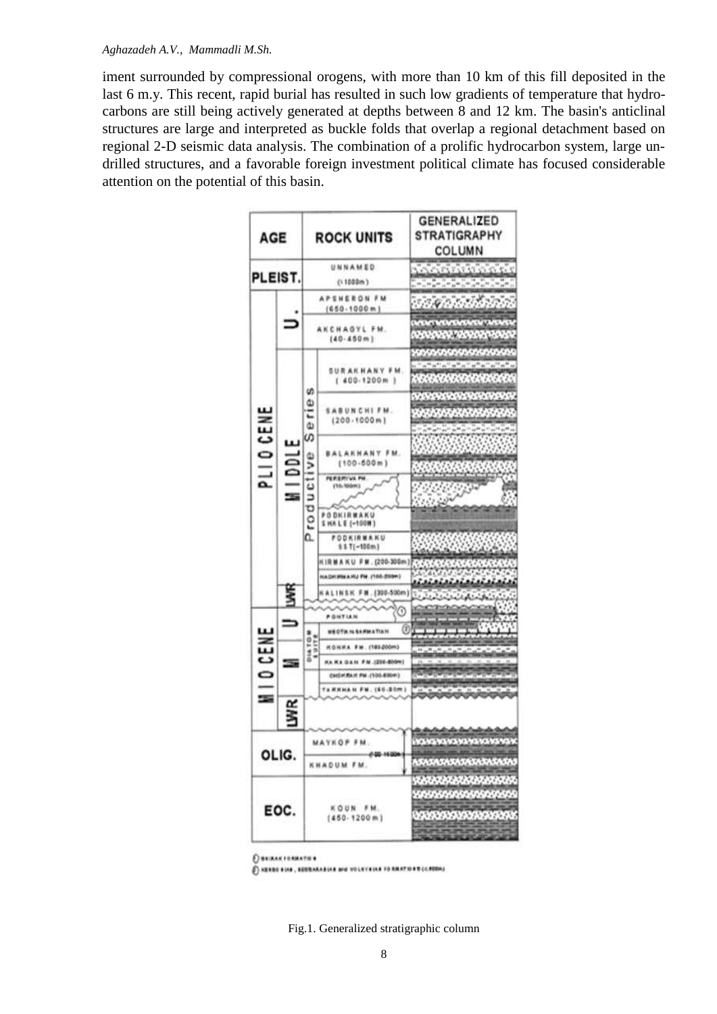## *Aghazadeh A.V., Mammadli M.Sh.*

iment surrounded by compressional orogens, with more than 10 km of this fill deposited in the last 6 m.y. This recent, rapid burial has resulted in such low gradients of temperature that hydrocarbons are still being actively generated at depths between 8 and 12 km. The basin's anticlinal structures are large and interpreted as buckle folds that overlap a regional detachment based on regional 2-D seismic data analysis. The combination of a prolific hydrocarbon system, large undrilled structures, and a favorable foreign investment political climate has focused considerable attention on the potential of this basin.

| <b>AGE</b>     |                    | <b>ROCK UNITS</b>                      |                                      | <b>GENERALIZED</b><br><b>STRATIGRAPHY</b><br>COLUMN              |
|----------------|--------------------|----------------------------------------|--------------------------------------|------------------------------------------------------------------|
| PLEIST.        |                    | UNNAMED                                |                                      |                                                                  |
|                |                    | (1000m)                                |                                      |                                                                  |
| PLIO CENE      |                    | <b>APSHERON FM</b><br>$(650 - 1000 m)$ |                                      |                                                                  |
|                |                    | AKCHAGYL FM.<br>(40.450m)              |                                      | خاصي<br><b>1979 M</b>                                            |
|                | $\frac{1001}{100}$ | w<br>rie<br>۵<br>S<br>roducti<br>۵.    | SURAKHANY FM.<br>$1.400.1200m$ )     | <b><i>CONTRACTOR</i></b><br><b><i>DARANGARANGARAN</i></b>        |
|                |                    |                                        | SABUNCHIFM.<br>(200.1000m)           | <b>ANGEL ANG ANG ANG ANG A</b><br><b><i>CONTRACTOR</i></b>       |
|                |                    |                                        | <b>BALAKHANY FM.</b><br>(100.500m)   |                                                                  |
|                |                    |                                        | PEREMYUL PH<br>(10.500ml)            |                                                                  |
|                |                    |                                        | PODKIRMAKU<br><b>SHALE (-100M)</b>   |                                                                  |
|                |                    |                                        | <b>PODKIRMAKU</b><br>\$\$T(-100m)    |                                                                  |
|                |                    |                                        | KIRMAKU FM. (200-300m)               |                                                                  |
|                |                    |                                        | NADH MMANU FM. (100-2009)            |                                                                  |
|                |                    |                                        | KALINSK FM. (300-500m)               | <b>Contact Land</b>                                              |
|                |                    |                                        | 0                                    |                                                                  |
| <b>ID CENE</b> |                    |                                        | <b>PONTIAN</b>                       |                                                                  |
|                |                    |                                        | ග<br><b><i>WEDTA ILSARMATIAN</i></b> |                                                                  |
|                |                    | DIATOM<br>1917E                        | <b>KONNA FM. (101200m)</b>           |                                                                  |
|                |                    |                                        | KA RA GAN FM (200-800M)              |                                                                  |
|                |                    |                                        | CANDICAL FM. (100-830PF)             |                                                                  |
|                |                    |                                        | <b>TARRHAM FM. (60-20m)</b>          |                                                                  |
|                |                    |                                        |                                      |                                                                  |
| OLIG.          |                    | MAYKOP FM.                             |                                      | anananana                                                        |
|                |                    | 440-1400<br>KHAQUM FM.                 |                                      | 51515151515151515151                                             |
| EOC.           |                    | KOUN FM.<br>$(450 - 1200 m)$           |                                      | <b>ENERATERATER</b><br>,,,,,,,,,,,,,,,,,<br><b>XXXXXXXXXXXXX</b> |

**CONTRAK FORMATION** 

C NEEDS FINE, EDUCATION and VOLKYEINE TO REAT OVER CONTINU

Fig.1. Generalized stratigraphic column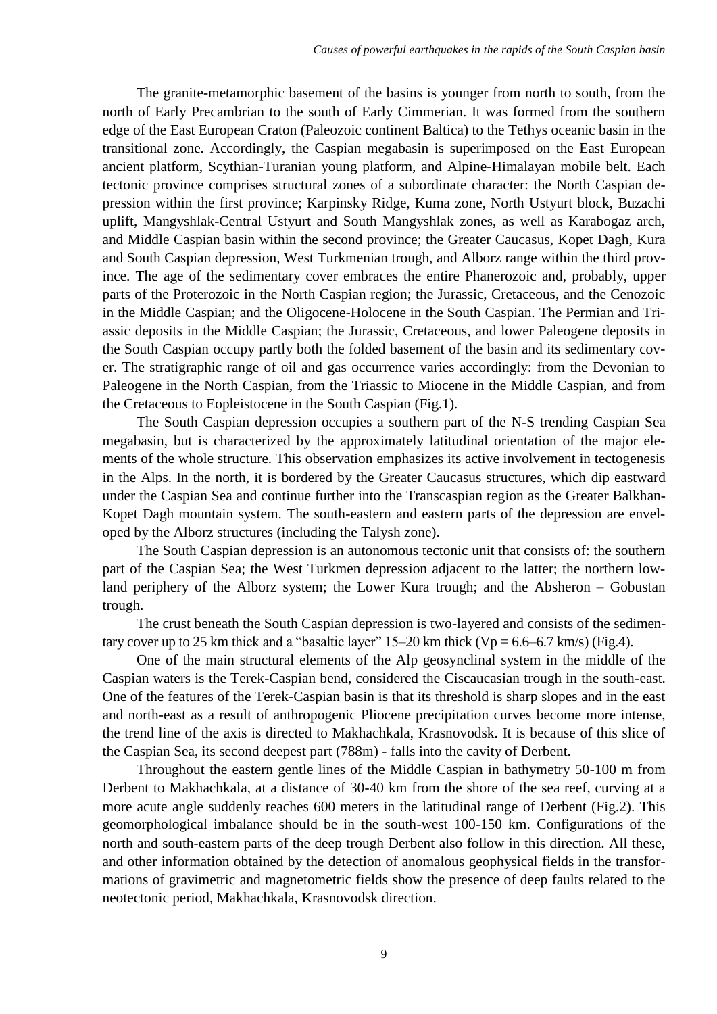The granite-metamorphic basement of the basins is younger from north to south, from the north of Early Precambrian to the south of Early Cimmerian. It was formed from the southern edge of the East European Craton (Paleozoic continent Baltica) to the Tethys oceanic basin in the transitional zone. Accordingly, the Caspian megabasin is superimposed on the East European ancient platform, Scythian-Turanian young platform, and Alpine-Himalayan mobile belt. Each tectonic province comprises structural zones of a subordinate character: the North Caspian depression within the first province; Karpinsky Ridge, Kuma zone, North Ustyurt block, Buzachi uplift, Mangyshlak-Central Ustyurt and South Mangyshlak zones, as well as Karabogaz arch, and Middle Caspian basin within the second province; the Greater Caucasus, Kopet Dagh, Kura and South Caspian depression, West Turkmenian trough, and Alborz range within the third province. The age of the sedimentary cover embraces the entire Phanerozoic and, probably, upper parts of the Proterozoic in the North Caspian region; the Jurassic, Cretaceous, and the Cenozoic in the Middle Caspian; and the Oligocene-Holocene in the South Caspian. The Permian and Triassic deposits in the Middle Caspian; the Jurassic, Cretaceous, and lower Paleogene deposits in the South Caspian occupy partly both the folded basement of the basin and its sedimentary cover. The stratigraphic range of oil and gas occurrence varies accordingly: from the Devonian to Paleogene in the North Caspian, from the Triassic to Miocene in the Middle Caspian, and from the Cretaceous to Eopleistocene in the South Caspian (Fig.1).

The South Caspian depression occupies a southern part of the N-S trending Caspian Sea megabasin, but is characterized by the approximately latitudinal orientation of the major elements of the whole structure. This observation emphasizes its active involvement in tectogenesis in the Alps. In the north, it is bordered by the Greater Caucasus structures, which dip eastward under the Caspian Sea and continue further into the Transcaspian region as the Greater Balkhan-Kopet Dagh mountain system. The south-eastern and eastern parts of the depression are enveloped by the Alborz structures (including the Talysh zone).

The South Caspian depression is an autonomous tectonic unit that consists of: the southern part of the Caspian Sea; the West Turkmen depression adjacent to the latter; the northern lowland periphery of the Alborz system; the Lower Kura trough; and the Absheron – Gobustan trough.

The crust beneath the South Caspian depression is two-layered and consists of the sedimentary cover up to 25 km thick and a "basaltic layer"  $15-20$  km thick (Vp = 6.6–6.7 km/s) (Fig.4).

One of the main structural elements of the Alp geosynclinal system in the middle of the Caspian waters is the Terek-Caspian bend, considered the Ciscaucasian trough in the south-east. One of the features of the Terek-Caspian basin is that its threshold is sharp slopes and in the east and north-east as a result of anthropogenic Pliocene precipitation curves become more intense, the trend line of the axis is directed to Makhachkala, Krasnovodsk. It is because of this slice of the Caspian Sea, its second deepest part (788m) - falls into the cavity of Derbent.

Throughout the eastern gentle lines of the Middle Caspian in bathymetry 50-100 m from Derbent to Makhachkala, at a distance of 30-40 km from the shore of the sea reef, curving at a more acute angle suddenly reaches 600 meters in the latitudinal range of Derbent (Fig.2). This geomorphological imbalance should be in the south-west 100-150 km. Configurations of the north and south-eastern parts of the deep trough Derbent also follow in this direction. All these, and other information obtained by the detection of anomalous geophysical fields in the transformations of gravimetric and magnetometric fields show the presence of deep faults related to the neotectonic period, Makhachkala, Krasnovodsk direction.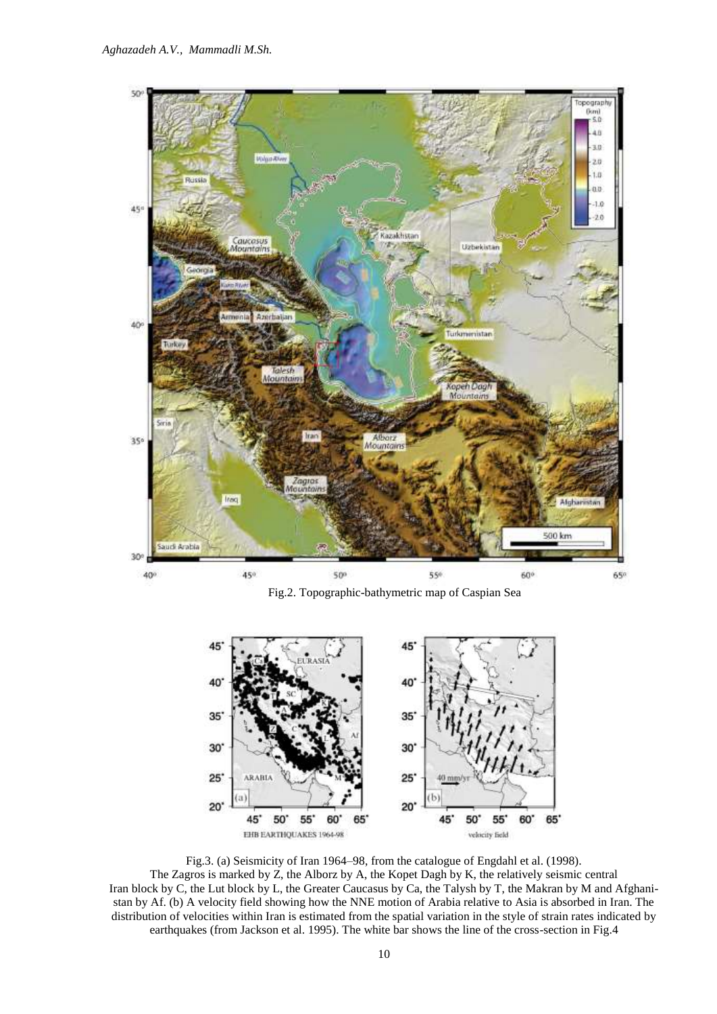

Fig.2. Topographic-bathymetric map of Caspian Sea



Fig.3. (a) Seismicity of Iran 1964–98, from the catalogue of Engdahl et al. (1998). The Zagros is marked by Z, the Alborz by A, the Kopet Dagh by K, the relatively seismic central Iran block by C, the Lut block by L, the Greater Caucasus by Ca, the Talysh by T, the Makran by M and Afghanistan by Af. (b) A velocity field showing how the NNE motion of Arabia relative to Asia is absorbed in Iran. The distribution of velocities within Iran is estimated from the spatial variation in the style of strain rates indicated by earthquakes (from Jackson et al. 1995). The white bar shows the line of the cross-section in Fig.4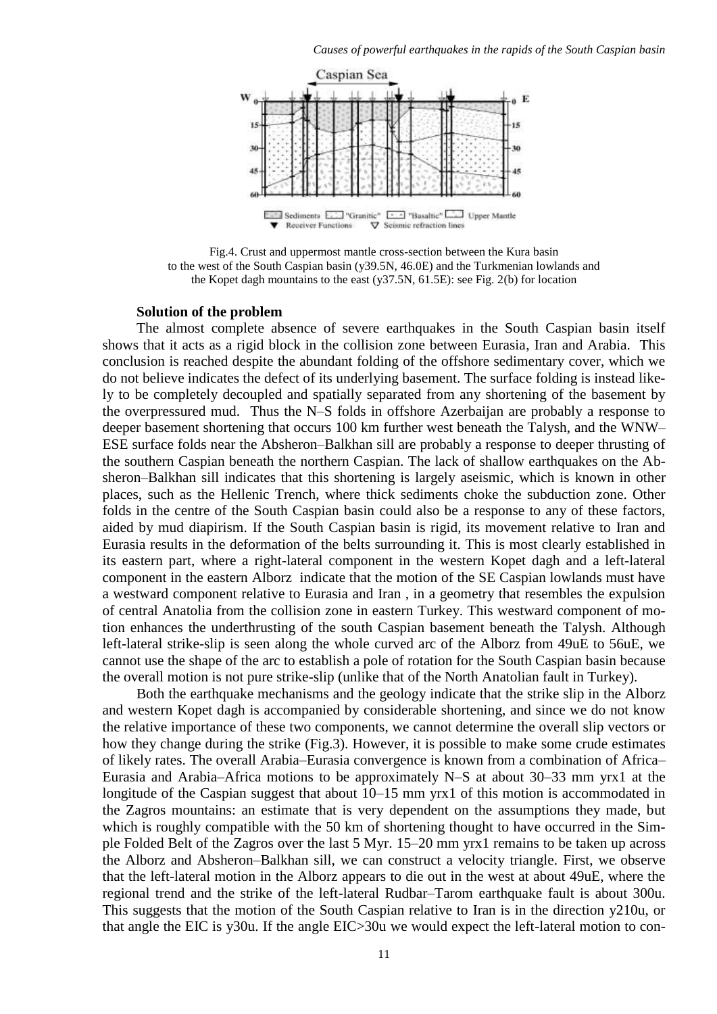

Fig.4. Crust and uppermost mantle cross-section between the Kura basin to the west of the South Caspian basin (y39.5N, 46.0E) and the Turkmenian lowlands and the Kopet dagh mountains to the east (y37.5N, 61.5E): see Fig. 2(b) for location

## **Solution of the problem**

The almost complete absence of severe earthquakes in the South Caspian basin itself shows that it acts as a rigid block in the collision zone between Eurasia, Iran and Arabia. This conclusion is reached despite the abundant folding of the offshore sedimentary cover, which we do not believe indicates the defect of its underlying basement. The surface folding is instead likely to be completely decoupled and spatially separated from any shortening of the basement by the overpressured mud. Thus the N–S folds in offshore Azerbaijan are probably a response to deeper basement shortening that occurs 100 km further west beneath the Talysh, and the WNW– ESE surface folds near the Absheron–Balkhan sill are probably a response to deeper thrusting of the southern Caspian beneath the northern Caspian. The lack of shallow earthquakes on the Absheron–Balkhan sill indicates that this shortening is largely aseismic, which is known in other places, such as the Hellenic Trench, where thick sediments choke the subduction zone. Other folds in the centre of the South Caspian basin could also be a response to any of these factors, aided by mud diapirism. If the South Caspian basin is rigid, its movement relative to Iran and Eurasia results in the deformation of the belts surrounding it. This is most clearly established in its eastern part, where a right-lateral component in the western Kopet dagh and a left-lateral component in the eastern Alborz indicate that the motion of the SE Caspian lowlands must have a westward component relative to Eurasia and Iran , in a geometry that resembles the expulsion of central Anatolia from the collision zone in eastern Turkey. This westward component of motion enhances the underthrusting of the south Caspian basement beneath the Talysh. Although left-lateral strike-slip is seen along the whole curved arc of the Alborz from 49uE to 56uE, we cannot use the shape of the arc to establish a pole of rotation for the South Caspian basin because the overall motion is not pure strike-slip (unlike that of the North Anatolian fault in Turkey).

Both the earthquake mechanisms and the geology indicate that the strike slip in the Alborz and western Kopet dagh is accompanied by considerable shortening, and since we do not know the relative importance of these two components, we cannot determine the overall slip vectors or how they change during the strike (Fig.3). However, it is possible to make some crude estimates of likely rates. The overall Arabia–Eurasia convergence is known from a combination of Africa– Eurasia and Arabia–Africa motions to be approximately N–S at about 30–33 mm yrx1 at the longitude of the Caspian suggest that about 10–15 mm yrx1 of this motion is accommodated in the Zagros mountains: an estimate that is very dependent on the assumptions they made, but which is roughly compatible with the 50 km of shortening thought to have occurred in the Simple Folded Belt of the Zagros over the last 5 Myr. 15–20 mm yrx1 remains to be taken up across the Alborz and Absheron–Balkhan sill, we can construct a velocity triangle. First, we observe that the left-lateral motion in the Alborz appears to die out in the west at about 49uE, where the regional trend and the strike of the left-lateral Rudbar–Tarom earthquake fault is about 300u. This suggests that the motion of the South Caspian relative to Iran is in the direction y210u, or that angle the EIC is y30u. If the angle EIC>30u we would expect the left-lateral motion to con-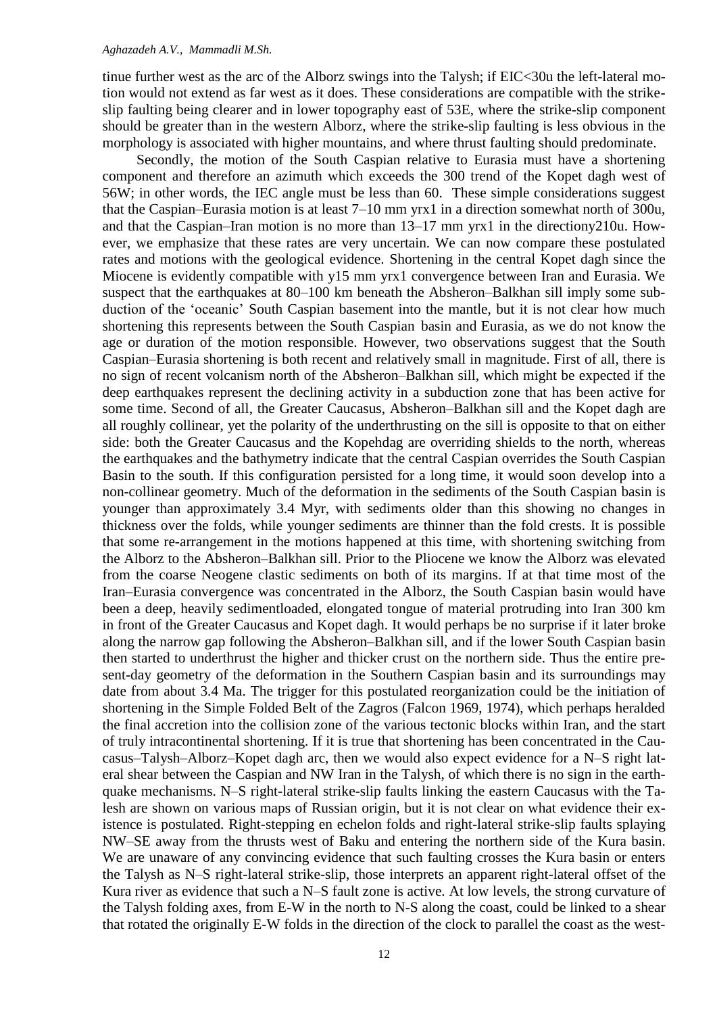#### *Aghazadeh A.V., Mammadli M.Sh.*

tinue further west as the arc of the Alborz swings into the Talysh; if EIC<30u the left-lateral motion would not extend as far west as it does. These considerations are compatible with the strikeslip faulting being clearer and in lower topography east of 53E, where the strike-slip component should be greater than in the western Alborz, where the strike-slip faulting is less obvious in the morphology is associated with higher mountains, and where thrust faulting should predominate.

Secondly, the motion of the South Caspian relative to Eurasia must have a shortening component and therefore an azimuth which exceeds the 300 trend of the Kopet dagh west of 56W; in other words, the IEC angle must be less than 60. These simple considerations suggest that the Caspian–Eurasia motion is at least 7–10 mm yrx1 in a direction somewhat north of 300u, and that the Caspian–Iran motion is no more than 13–17 mm yrx1 in the directiony210u. However, we emphasize that these rates are very uncertain. We can now compare these postulated rates and motions with the geological evidence. Shortening in the central Kopet dagh since the Miocene is evidently compatible with y15 mm yrx1 convergence between Iran and Eurasia. We suspect that the earthquakes at 80–100 km beneath the Absheron–Balkhan sill imply some subduction of the 'oceanic' South Caspian basement into the mantle, but it is not clear how much shortening this represents between the South Caspian basin and Eurasia, as we do not know the age or duration of the motion responsible. However, two observations suggest that the South Caspian–Eurasia shortening is both recent and relatively small in magnitude. First of all, there is no sign of recent volcanism north of the Absheron–Balkhan sill, which might be expected if the deep earthquakes represent the declining activity in a subduction zone that has been active for some time. Second of all, the Greater Caucasus, Absheron–Balkhan sill and the Kopet dagh are all roughly collinear, yet the polarity of the underthrusting on the sill is opposite to that on either side: both the Greater Caucasus and the Kopehdag are overriding shields to the north, whereas the earthquakes and the bathymetry indicate that the central Caspian overrides the South Caspian Basin to the south. If this configuration persisted for a long time, it would soon develop into a non-collinear geometry. Much of the deformation in the sediments of the South Caspian basin is younger than approximately 3.4 Myr, with sediments older than this showing no changes in thickness over the folds, while younger sediments are thinner than the fold crests. It is possible that some re-arrangement in the motions happened at this time, with shortening switching from the Alborz to the Absheron–Balkhan sill. Prior to the Pliocene we know the Alborz was elevated from the coarse Neogene clastic sediments on both of its margins. If at that time most of the Iran–Eurasia convergence was concentrated in the Alborz, the South Caspian basin would have been a deep, heavily sedimentloaded, elongated tongue of material protruding into Iran 300 km in front of the Greater Caucasus and Kopet dagh. It would perhaps be no surprise if it later broke along the narrow gap following the Absheron–Balkhan sill, and if the lower South Caspian basin then started to underthrust the higher and thicker crust on the northern side. Thus the entire present-day geometry of the deformation in the Southern Caspian basin and its surroundings may date from about 3.4 Ma. The trigger for this postulated reorganization could be the initiation of shortening in the Simple Folded Belt of the Zagros (Falcon 1969, 1974), which perhaps heralded the final accretion into the collision zone of the various tectonic blocks within Iran, and the start of truly intracontinental shortening. If it is true that shortening has been concentrated in the Caucasus–Talysh–Alborz–Kopet dagh arc, then we would also expect evidence for a N–S right lateral shear between the Caspian and NW Iran in the Talysh, of which there is no sign in the earthquake mechanisms. N–S right-lateral strike-slip faults linking the eastern Caucasus with the Talesh are shown on various maps of Russian origin, but it is not clear on what evidence their existence is postulated. Right-stepping en echelon folds and right-lateral strike-slip faults splaying NW–SE away from the thrusts west of Baku and entering the northern side of the Kura basin. We are unaware of any convincing evidence that such faulting crosses the Kura basin or enters the Talysh as N–S right-lateral strike-slip, those interprets an apparent right-lateral offset of the Kura river as evidence that such a N–S fault zone is active. At low levels, the strong curvature of the Talysh folding axes, from E-W in the north to N-S along the coast, could be linked to a shear that rotated the originally E-W folds in the direction of the clock to parallel the coast as the west-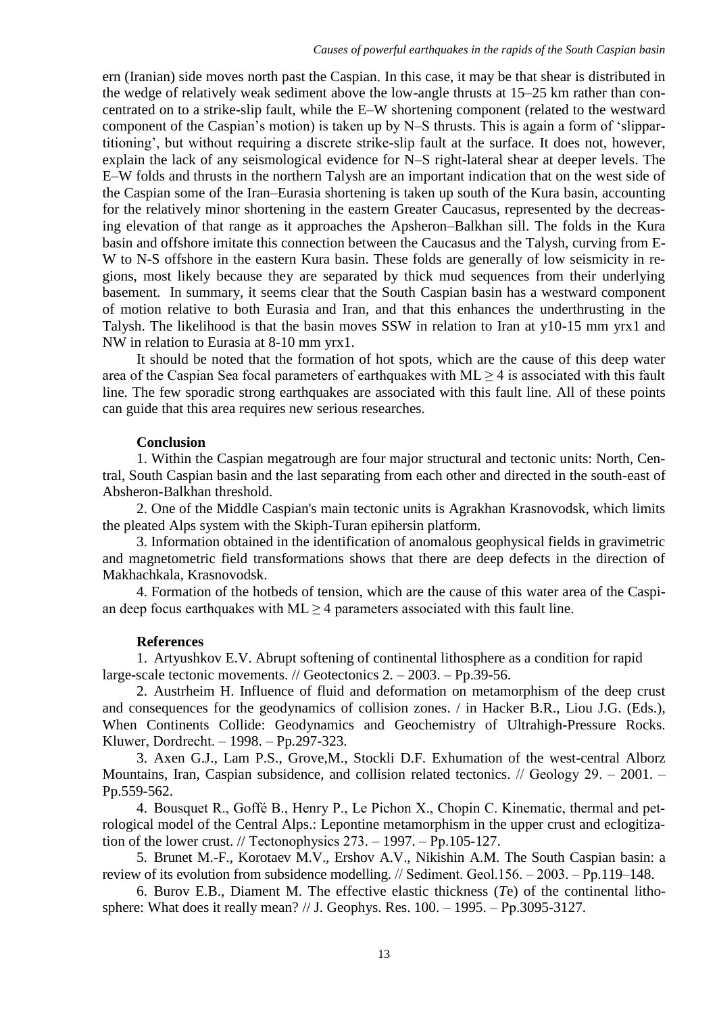ern (Iranian) side moves north past the Caspian. In this case, it may be that shear is distributed in the wedge of relatively weak sediment above the low-angle thrusts at 15–25 km rather than concentrated on to a strike-slip fault, while the E–W shortening component (related to the westward component of the Caspian's motion) is taken up by N–S thrusts. This is again a form of 'slippartitioning', but without requiring a discrete strike-slip fault at the surface. It does not, however, explain the lack of any seismological evidence for N–S right-lateral shear at deeper levels. The E–W folds and thrusts in the northern Talysh are an important indication that on the west side of the Caspian some of the Iran–Eurasia shortening is taken up south of the Kura basin, accounting for the relatively minor shortening in the eastern Greater Caucasus, represented by the decreasing elevation of that range as it approaches the Apsheron–Balkhan sill. The folds in the Kura basin and offshore imitate this connection between the Caucasus and the Talysh, curving from E-W to N-S offshore in the eastern Kura basin. These folds are generally of low seismicity in regions, most likely because they are separated by thick mud sequences from their underlying basement. In summary, it seems clear that the South Caspian basin has a westward component of motion relative to both Eurasia and Iran, and that this enhances the underthrusting in the Talysh. The likelihood is that the basin moves SSW in relation to Iran at y10-15 mm yrx1 and NW in relation to Eurasia at 8-10 mm yrx1.

It should be noted that the formation of hot spots, which are the cause of this deep water area of the Caspian Sea focal parameters of earthquakes with  $ML \geq 4$  is associated with this fault line. The few sporadic strong earthquakes are associated with this fault line. All of these points can guide that this area requires new serious researches.

## **Conclusion**

1. Within the Caspian megatrough are four major structural and tectonic units: North, Central, South Caspian basin and the last separating from each other and directed in the south-east of Absheron-Balkhan threshold.

2. One of the Middle Caspian's main tectonic units is Agrakhan Krasnovodsk, which limits the pleated Alps system with the Skiph-Turan epihersin platform.

3. Information obtained in the identification of anomalous geophysical fields in gravimetric and magnetometric field transformations shows that there are deep defects in the direction of Makhachkala, Krasnovodsk.

4. Formation of the hotbeds of tension, which are the cause of this water area of the Caspian deep focus earthquakes with  $ML \geq 4$  parameters associated with this fault line.

## **References**

1. Artyushkov E.V. Abrupt softening of continental lithosphere as a condition for rapid large-scale tectonic movements. // Geotectonics  $2. -2003. - Pp.39-56.$ 

2. Austrheim H. Influence of fluid and deformation on metamorphism of the deep crust and consequences for the geodynamics of collision zones. / in Hacker B.R., Liou J.G. (Eds.), When Continents Collide: Geodynamics and Geochemistry of Ultrahigh-Pressure Rocks. Kluwer, Dordrecht. ‒ 1998. ‒ Pp.297-323.

3. Axen G.J., Lam P.S., Grove,M., Stockli D.F. Exhumation of the west-central Alborz Mountains, Iran, Caspian subsidence, and collision related tectonics. // Geology 29. – 2001. – Pp.559-562.

4. Bousquet R., Goffé B., Henry P., Le Pichon X., Chopin C. Kinematic, thermal and petrological model of the Central Alps.: Lepontine metamorphism in the upper crust and eclogitization of the lower crust. // Tectonophysics  $273. - 1997. - Pp.105-127.$ 

5. Brunet M.-F., Korotaev M.V., Ershov A.V., Nikishin A.M. The South Caspian basin: a review of its evolution from subsidence modelling. // Sediment. Geol.156. ‒ 2003. ‒ Pp.119–148.

6. Burov E.B., Diament M. The effective elastic thickness (*T*e) of the continental lithosphere: What does it really mean?  $// J. Geophys. Res. 100. -1995. - Pp.3095-3127.$